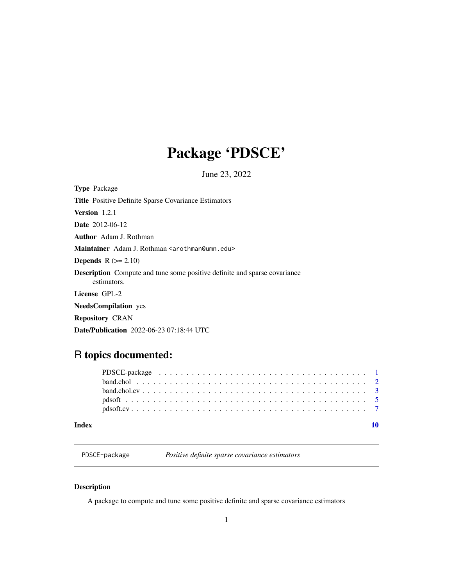## <span id="page-0-0"></span>Package 'PDSCE'

June 23, 2022

| <b>Type Package</b>                                                                             |
|-------------------------------------------------------------------------------------------------|
| Title Positive Definite Sparse Covariance Estimators                                            |
| <b>Version</b> 1.2.1                                                                            |
| <b>Date</b> 2012-06-12                                                                          |
| <b>Author</b> Adam J. Rothman                                                                   |
| Maintainer Adam J. Rothman <arothman@umn.edu></arothman@umn.edu>                                |
| <b>Depends</b> $R (= 2.10)$                                                                     |
| <b>Description</b> Compute and tune some positive definite and sparse covariance<br>estimators. |
| License GPL-2                                                                                   |
| <b>NeedsCompilation</b> yes                                                                     |
| <b>Repository CRAN</b>                                                                          |
| <b>Date/Publication</b> 2022-06-23 07:18:44 UTC                                                 |
|                                                                                                 |

### R topics documented:

| Index |  |
|-------|--|
|       |  |
|       |  |
|       |  |
|       |  |
|       |  |

PDSCE-package *Positive definite sparse covariance estimators*

#### Description

A package to compute and tune some positive definite and sparse covariance estimators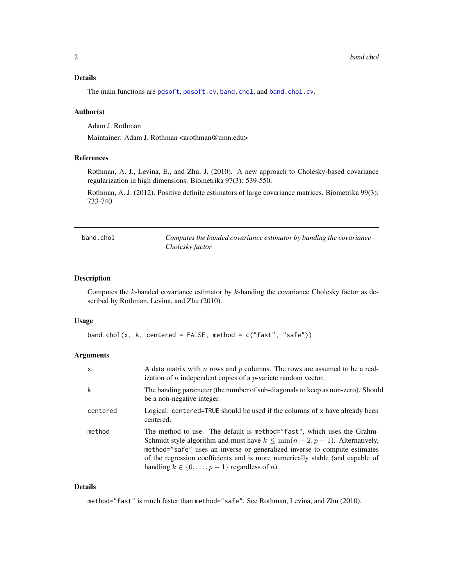#### <span id="page-1-0"></span>Details

The main functions are [pdsoft](#page-4-1), [pdsoft.cv](#page-6-1), [band.chol](#page-1-1), and [band.chol.cv](#page-2-1).

#### Author(s)

Adam J. Rothman

Maintainer: Adam J. Rothman <arothman@umn.edu>

#### References

Rothman, A. J., Levina, E., and Zhu, J. (2010). A new approach to Cholesky-based covariance regularization in high dimensions. Biometrika 97(3): 539-550.

Rothman, A. J. (2012). Positive definite estimators of large covariance matrices. Biometrika 99(3): 733-740

<span id="page-1-1"></span>

| band.chol | Computes the banded covariance estimator by banding the covariance |
|-----------|--------------------------------------------------------------------|
|           | Cholesky factor                                                    |

#### Description

Computes the  $k$ -banded covariance estimator by  $k$ -banding the covariance Cholesky factor as described by Rothman, Levina, and Zhu (2010).

#### Usage

```
band.chol(x, k, centered = FALSE, method = c("fast", "safe"))
```
#### **Arguments**

| X        | A data matrix with $n$ rows and $p$ columns. The rows are assumed to be a real-<br>ization of $n$ independent copies of a $p$ -variate random vector.                                                                                                                                                                                                                                   |
|----------|-----------------------------------------------------------------------------------------------------------------------------------------------------------------------------------------------------------------------------------------------------------------------------------------------------------------------------------------------------------------------------------------|
| k        | The banding parameter (the number of sub-diagonals to keep as non-zero). Should<br>be a non-negative integer.                                                                                                                                                                                                                                                                           |
| centered | Logical: centered=TRUE should be used if the columns of x have already been<br>centered.                                                                                                                                                                                                                                                                                                |
| method   | The method to use. The default is method="fast", which uses the Grahm-<br>Schmidt style algorithm and must have $k \leq \min(n-2, p-1)$ . Alternatively,<br>method="safe" uses an inverse or generalized inverse to compute estimates<br>of the regression coefficients and is more numerically stable (and capable of<br>handling $k \in \{0, \ldots, p-1\}$ regardless of <i>n</i> ). |

#### Details

method="fast" is much faster than method="safe". See Rothman, Levina, and Zhu (2010).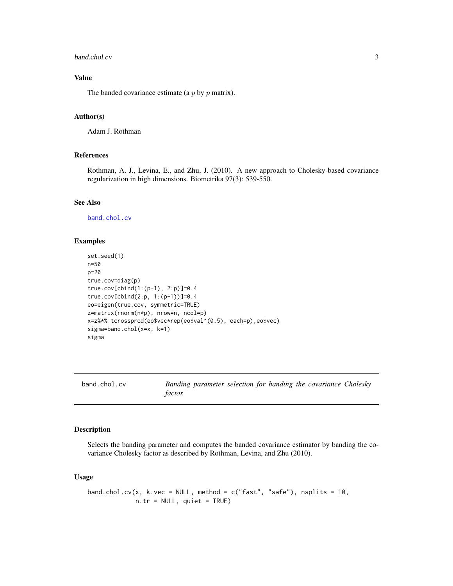#### <span id="page-2-0"></span>band.chol.cv 3

#### Value

The banded covariance estimate (a  $p$  by  $p$  matrix).

#### Author(s)

Adam J. Rothman

#### References

Rothman, A. J., Levina, E., and Zhu, J. (2010). A new approach to Cholesky-based covariance regularization in high dimensions. Biometrika 97(3): 539-550.

#### See Also

[band.chol.cv](#page-2-1)

#### Examples

```
set.seed(1)
n=50
p=20
true.cov=diag(p)
true.cov[cbind(1:(p-1), 2:p)]=0.4
true.cov[cbind(2:p, 1:(p-1))]=0.4
eo=eigen(true.cov, symmetric=TRUE)
z=matrix(rnorm(n*p), nrow=n, ncol=p)
x=z%*% tcrossprod(eo$vec*rep(eo$val^(0.5), each=p),eo$vec)
sigma=band.chol(x=x, k=1)
sigma
```
<span id="page-2-1"></span>

| band.chol.cv |         |  |  | Banding parameter selection for banding the covariance Cholesky |  |
|--------------|---------|--|--|-----------------------------------------------------------------|--|
|              | factor. |  |  |                                                                 |  |

#### Description

Selects the banding parameter and computes the banded covariance estimator by banding the covariance Cholesky factor as described by Rothman, Levina, and Zhu (2010).

#### Usage

```
band.chol.cv(x, k.vec = NULL, method = c("fast", "safe"), nsplits = 10,
            n.tr = NULL, quiet = TRUE)
```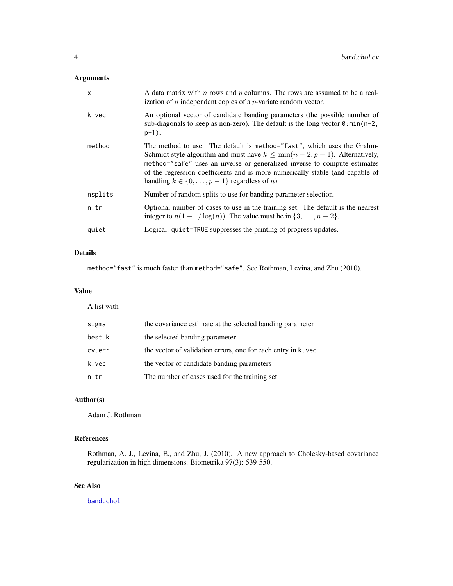#### <span id="page-3-0"></span>Arguments

| $\mathsf{x}$ | A data matrix with $n$ rows and $p$ columns. The rows are assumed to be a real-<br>ization of $n$ independent copies of a $p$ -variate random vector.                                                                                                                                                                                                                                   |
|--------------|-----------------------------------------------------------------------------------------------------------------------------------------------------------------------------------------------------------------------------------------------------------------------------------------------------------------------------------------------------------------------------------------|
| k.vec        | An optional vector of candidate banding parameters (the possible number of<br>sub-diagonals to keep as non-zero). The default is the long vector $\theta$ : min(n-2,<br>$p-1$ ).                                                                                                                                                                                                        |
| method       | The method to use. The default is method="fast", which uses the Grahm-<br>Schmidt style algorithm and must have $k \leq \min(n-2, p-1)$ . Alternatively,<br>method="safe" uses an inverse or generalized inverse to compute estimates<br>of the regression coefficients and is more numerically stable (and capable of<br>handling $k \in \{0, \ldots, p-1\}$ regardless of <i>n</i> ). |
| nsplits      | Number of random splits to use for banding parameter selection.                                                                                                                                                                                                                                                                                                                         |
| n.tr         | Optional number of cases to use in the training set. The default is the nearest<br>integer to $n(1 - 1/\log(n))$ . The value must be in $\{3, , n-2\}$ .                                                                                                                                                                                                                                |
| quiet        | Logical: quiet=TRUE suppresses the printing of progress updates.                                                                                                                                                                                                                                                                                                                        |

#### Details

method="fast" is much faster than method="safe". See Rothman, Levina, and Zhu (2010).

#### Value

A list with

| sigma  | the covariance estimate at the selected banding parameter     |
|--------|---------------------------------------------------------------|
| best.k | the selected banding parameter                                |
| cv.err | the vector of validation errors, one for each entry in k. vec |
| k.vec  | the vector of candidate banding parameters                    |
| n.tr   | The number of cases used for the training set                 |

#### Author(s)

Adam J. Rothman

#### References

Rothman, A. J., Levina, E., and Zhu, J. (2010). A new approach to Cholesky-based covariance regularization in high dimensions. Biometrika 97(3): 539-550.

#### See Also

[band.chol](#page-1-1)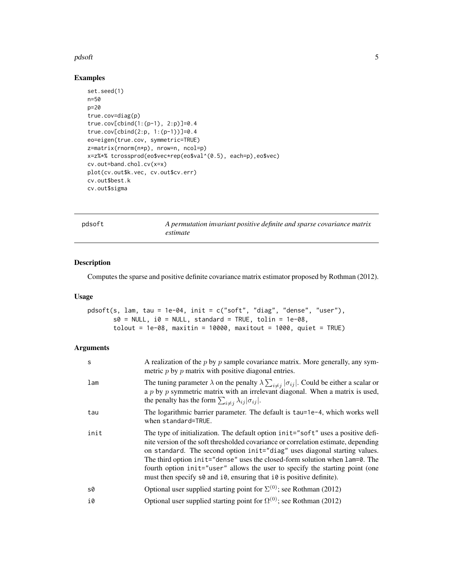#### <span id="page-4-0"></span>pdsoft 5 and 5 and 5 and 5 and 5 and 5 and 5 and 5 and 5 and 5 and 5 and 5 and 5 and 5 and 5 and 5 and 5 and 5

#### Examples

```
set.seed(1)
n=50
p=20
true.cov=diag(p)
true.cov[cbind(1:(p-1), 2:p)]=0.4
true.cov[cbind(2:p, 1:(p-1))]=0.4
eo=eigen(true.cov, symmetric=TRUE)
z=matrix(rnorm(n*p), nrow=n, ncol=p)
x=z%*% tcrossprod(eo$vec*rep(eo$val^(0.5), each=p),eo$vec)
cv.out=band.chol.cv(x=x)
plot(cv.out$k.vec, cv.out$cv.err)
cv.out$best.k
cv.out$sigma
```
<span id="page-4-1"></span>

pdsoft *A permutation invariant positive definite and sparse covariance matrix estimate*

#### Description

Computes the sparse and positive definite covariance matrix estimator proposed by Rothman (2012).

#### Usage

```
pdsoft(s, lam, tau = 1e-04, init = c("soft", "diag", "dense", "user"),
       s0 = NULL, i0 = NULL, standard = TRUE, tolin = 1e-08,
       \text{tolout} = 1\text{e-08}, maxitin = 10000, maxitout = 1000, quiet = TRUE)
```
#### Arguments

| S    | A realization of the $p$ by $p$ sample covariance matrix. More generally, any sym-<br>metric $p$ by $p$ matrix with positive diagonal entries.                                                                                                                                                                                                                                                                                                                                                                   |
|------|------------------------------------------------------------------------------------------------------------------------------------------------------------------------------------------------------------------------------------------------------------------------------------------------------------------------------------------------------------------------------------------------------------------------------------------------------------------------------------------------------------------|
| lam  | The tuning parameter $\lambda$ on the penalty $\lambda \sum_{i \neq j}  \sigma_{ij} $ . Could be either a scalar or<br>a $p$ by $p$ symmetric matrix with an irrelevant diagonal. When a matrix is used,<br>the penalty has the form $\sum_{i \neq j} \lambda_{ij}  \sigma_{ij} $ .                                                                                                                                                                                                                              |
| tau  | The logarithmic barrier parameter. The default is tau=1e-4, which works well<br>when standard=TRUE.                                                                                                                                                                                                                                                                                                                                                                                                              |
| init | The type of initialization. The default option init="soft" uses a positive defi-<br>nite version of the soft thresholded covariance or correlation estimate, depending<br>on standard. The second option init="diag" uses diagonal starting values.<br>The third option init="dense" uses the closed-form solution when lam=0. The<br>fourth option init="user" allows the user to specify the starting point (one<br>must then specify $s\theta$ and $i\theta$ , ensuring that $i\theta$ is positive definite). |
| s0   | Optional user supplied starting point for $\Sigma^{(0)}$ ; see Rothman (2012)                                                                                                                                                                                                                                                                                                                                                                                                                                    |
| i0   | Optional user supplied starting point for $\Omega^{(0)}$ ; see Rothman (2012)                                                                                                                                                                                                                                                                                                                                                                                                                                    |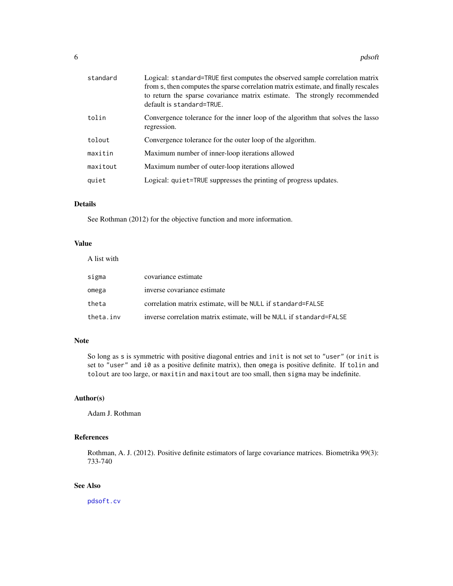<span id="page-5-0"></span>

| standard | Logical: standard=TRUE first computes the observed sample correlation matrix<br>from s, then computes the sparse correlation matrix estimate, and finally rescales<br>to return the sparse covariance matrix estimate. The strongly recommended<br>default is standard=TRUE. |  |  |
|----------|------------------------------------------------------------------------------------------------------------------------------------------------------------------------------------------------------------------------------------------------------------------------------|--|--|
| tolin    | Convergence tolerance for the inner loop of the algorithm that solves the lasso<br>regression.                                                                                                                                                                               |  |  |
| tolout   | Convergence tolerance for the outer loop of the algorithm.                                                                                                                                                                                                                   |  |  |
| maxitin  | Maximum number of inner-loop iterations allowed                                                                                                                                                                                                                              |  |  |
| maxitout | Maximum number of outer-loop iterations allowed                                                                                                                                                                                                                              |  |  |
| quiet    | Logical: quiet=TRUE suppresses the printing of progress updates.                                                                                                                                                                                                             |  |  |

### Details

See Rothman (2012) for the objective function and more information.

#### Value

| A list with |                                                                     |
|-------------|---------------------------------------------------------------------|
| sigma       | covariance estimate                                                 |
| omega       | inverse covariance estimate                                         |
| theta       | correlation matrix estimate, will be NULL if standard=FALSE         |
| theta.inv   | inverse correlation matrix estimate, will be NULL if standard=FALSE |

#### Note

So long as s is symmetric with positive diagonal entries and init is not set to "user" (or init is set to "user" and i0 as a positive definite matrix), then omega is positive definite. If tolin and tolout are too large, or maxitin and maxitout are too small, then sigma may be indefinite.

#### Author(s)

Adam J. Rothman

#### References

Rothman, A. J. (2012). Positive definite estimators of large covariance matrices. Biometrika 99(3): 733-740

### See Also

[pdsoft.cv](#page-6-1)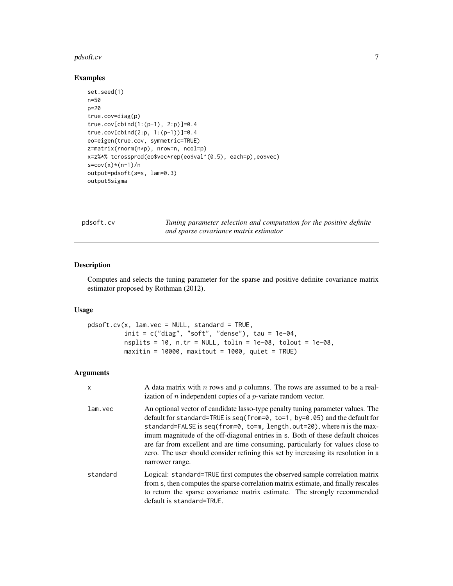#### <span id="page-6-0"></span>pdsoft.cv 5.5 and 5.5 and 5.5 and 5.5 and 5.5 and 5.5 and 5.5 and 5.5 and 5.5 and 5.5 and 5.5 and 5.7 and 5.7 and 5.7 and 5.7 and 5.7 and 5.7 and 5.7 and 5.7 and 5.7 and 5.7 and 5.7 and 5.7 and 5.7 and 5.7 and 5.7 and 5.7

#### Examples

```
set.seed(1)
n=50
p=20
true.cov=diag(p)
true.cov[cbind(1:(p-1), 2:p)]=0.4
true.cov[cbind(2:p, 1:(p-1))]=0.4
eo=eigen(true.cov, symmetric=TRUE)
z=matrix(rnorm(n*p), nrow=n, ncol=p)
x=z%*% tcrossprod(eo$vec*rep(eo$val^(0.5), each=p),eo$vec)
s = cov(x)*(n-1)/noutput=pdsoft(s=s, lam=0.3)
output$sigma
```
<span id="page-6-1"></span>pdsoft.cv *Tuning parameter selection and computation for the positive definite and sparse covariance matrix estimator*

#### Description

Computes and selects the tuning parameter for the sparse and positive definite covariance matrix estimator proposed by Rothman (2012).

#### Usage

```
pdsoft.cv(x, lam.vec = NULL, standard = TRUE,
         init = c("diag", "soft", "dense"), tau = 1e-04,nsplits = 10, n.tr = NULL, tolin = 1e-08, tolout = 1e-08,
         maxitin = 10000, maxitout = 1000, quiet = TRUE)
```
#### Arguments

| X        | A data matrix with $n$ rows and $p$ columns. The rows are assumed to be a real-<br>ization of $n$ independent copies of a $p$ -variate random vector.                                                                                                                                                                                                                                                                                                                                                                   |
|----------|-------------------------------------------------------------------------------------------------------------------------------------------------------------------------------------------------------------------------------------------------------------------------------------------------------------------------------------------------------------------------------------------------------------------------------------------------------------------------------------------------------------------------|
| lam.vec  | An optional vector of candidate lasso-type penalty tuning parameter values. The<br>default for standard=TRUE is seq(from=0, to=1, by=0.05) and the default for<br>standard=FALSE is seq(from=0, to=m, length.out=20), where m is the max-<br>imum magnitude of the off-diagonal entries in s. Both of these default choices<br>are far from excellent and are time consuming, particularly for values close to<br>zero. The user should consider refining this set by increasing its resolution in a<br>narrower range. |
| standard | Logical: standard=TRUE first computes the observed sample correlation matrix<br>from s, then computes the sparse correlation matrix estimate, and finally rescales<br>to return the sparse covariance matrix estimate. The strongly recommended<br>default is standard=TRUE.                                                                                                                                                                                                                                            |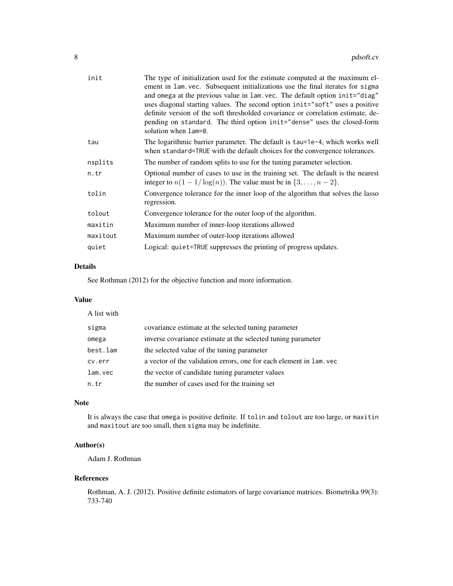| The type of initialization used for the estimate computed at the maximum el-<br>ement in lam. vec. Subsequent initializations use the final iterates for sigma<br>and omega at the previous value in lam. vec. The default option init="diag"<br>uses diagonal starting values. The second option init="soft" uses a positive<br>definite version of the soft thresholded covariance or correlation estimate, de-<br>pending on standard. The third option init="dense" uses the closed-form<br>solution when lam=0. |
|----------------------------------------------------------------------------------------------------------------------------------------------------------------------------------------------------------------------------------------------------------------------------------------------------------------------------------------------------------------------------------------------------------------------------------------------------------------------------------------------------------------------|
| The logarithmic barrier parameter. The default is tau=1e-4, which works well<br>when standard=TRUE with the default choices for the convergence tolerances.                                                                                                                                                                                                                                                                                                                                                          |
| The number of random splits to use for the tuning parameter selection.                                                                                                                                                                                                                                                                                                                                                                                                                                               |
| Optional number of cases to use in the training set. The default is the nearest<br>integer to $n(1 - 1/\log(n))$ . The value must be in $\{3, , n-2\}$ .                                                                                                                                                                                                                                                                                                                                                             |
| Convergence tolerance for the inner loop of the algorithm that solves the lasso<br>regression.                                                                                                                                                                                                                                                                                                                                                                                                                       |
| Convergence tolerance for the outer loop of the algorithm.                                                                                                                                                                                                                                                                                                                                                                                                                                                           |
| Maximum number of inner-loop iterations allowed                                                                                                                                                                                                                                                                                                                                                                                                                                                                      |
| Maximum number of outer-loop iterations allowed                                                                                                                                                                                                                                                                                                                                                                                                                                                                      |
| Logical: quiet=TRUE suppresses the printing of progress updates.                                                                                                                                                                                                                                                                                                                                                                                                                                                     |
|                                                                                                                                                                                                                                                                                                                                                                                                                                                                                                                      |

#### Details

See Rothman (2012) for the objective function and more information.

#### Value

A list with

| sigma    | covariance estimate at the selected tuning parameter                   |
|----------|------------------------------------------------------------------------|
| omega    | inverse covariance estimate at the selected tuning parameter           |
| best.lam | the selected value of the tuning parameter                             |
| cv.err   | a vector of the validation errors, one for each element in $l$ am. vec |
| lam.vec  | the vector of candidate tuning parameter values                        |
| n.tr     | the number of cases used for the training set                          |

#### Note

It is always the case that omega is positive definite. If tolin and tolout are too large, or maxitin and maxitout are too small, then sigma may be indefinite.

#### Author(s)

Adam J. Rothman

#### References

Rothman, A. J. (2012). Positive definite estimators of large covariance matrices. Biometrika 99(3): 733-740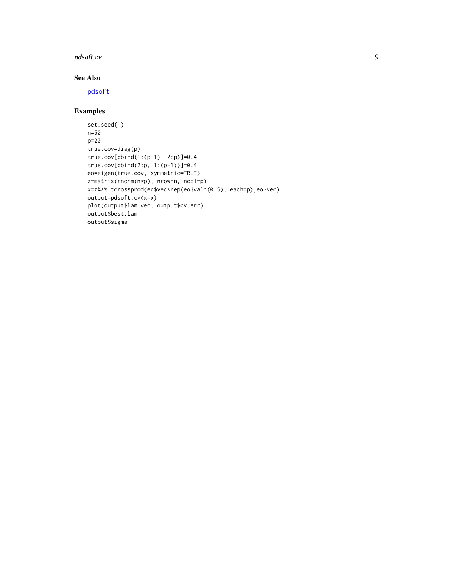#### <span id="page-8-0"></span>pdsoft.cv 9

#### See Also

[pdsoft](#page-4-1)

#### Examples

```
set.seed(1)
n=50
p=20
true.cov=diag(p)
true.cov[cbind(1:(p-1), 2:p)]=0.4
true.cov[cbind(2:p, 1:(p-1))]=0.4
eo=eigen(true.cov, symmetric=TRUE)
z=matrix(rnorm(n*p), nrow=n, ncol=p)
x=z%*% tcrossprod(eo$vec*rep(eo$val^(0.5), each=p),eo$vec)
output=pdsoft.cv(x=x)
plot(output$lam.vec, output$cv.err)
output$best.lam
output$sigma
```